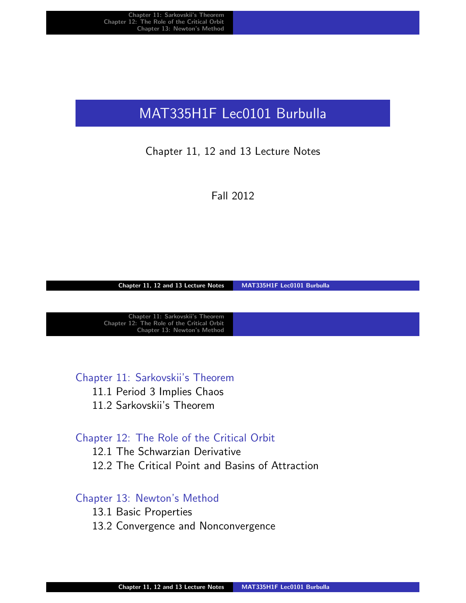# MAT335H1F Lec0101 Burbulla

#### Chapter 11, 12 and 13 Lecture Notes

Fall 2012

Chapter 11, 12 and 13 Lecture Notes MAT335H1F Lec0101 Burbulla

Chapter 11: Sarkovskii's Theorem Chapter 12: The Role of the Critical Orbit Chapter 13: Newton's Method

Chapter 11: Sarkovskii's Theorem

11.1 Period 3 Implies Chaos

[11.2 Sarko](#page-7-0)vskii's Theorem

#### [Chapter 12: T](#page-1-0)he Role of the Critical Orbit

[12.1 The](#page-1-0) Schwarzian Derivative

[12.2 Th](#page-4-0)e Critical Point and Basins of Attraction

#### [Chapter 13: Newton](#page-7-0)'s Method

- [13.1 Basic Properties](#page-10-0)
- [13.2 Co](#page-14-0)nvergence and Nonconvergence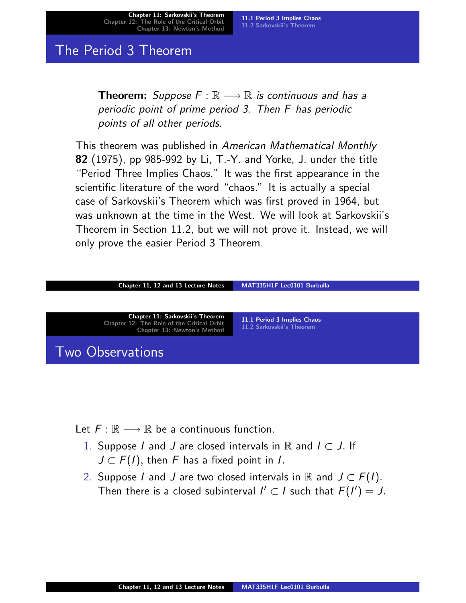Chapter 11: Sarkovskii's Theorem Chapter 12: The Role of the Critical Orbit Chapter 13: Newton's Method

11.1 Period 3 Implies Chaos 11.2 Sarkovskii's Theorem

#### The Period 3 Theorem

**Theorem:** Suppose  $F : \mathbb{R} \longrightarrow \mathbb{R}$  is continuous and has a periodic point of prime period 3. Then F has periodic points of all other periods.

This theorem was published in American Mathematical Monthly 82 (1975), pp 985-992 by Li, T.-Y. and Yorke, J. under the title "Period Three Implies Chaos." It was the first appearance in the scientific literature of the word "chaos." It is actually a special case of Sarkovskii's Theorem which was first proved in 1964, but was unknown at the time in the West. We will look at Sarkovskii's Theorem in Section 11.2, but we will not prove it. Instead, we will only prove the easier Period 3 Theorem.

| Chapter 11, 12 and 13 Lecture Notes                                                                           | MAT335H1F Lec0101 Burbulla                               |  |
|---------------------------------------------------------------------------------------------------------------|----------------------------------------------------------|--|
|                                                                                                               |                                                          |  |
| Chapter 11: Sarkovskii's Theorem<br>Chapter 12: The Role of the Critical Orbit<br>Chapter 13: Newton's Method | 11.1 Period 3 Implies Chaos<br>11.2 Sarkovskii's Theorem |  |
| Two Observations                                                                                              |                                                          |  |

Let  $F : \mathbb{R} \longrightarrow \mathbb{R}$  be a continuous function.

- 1. Suppose I and J are closed intervals in  $\mathbb R$  and  $I \subset J$ . If  $J \subset F(I)$ , then F has a fixed point in I.
- <span id="page-1-0"></span>2. Suppose I and J are two closed intervals in R and  $J \subset F(I)$ . Then there is a closed subinterval  $I' \subset I$  such that  $F(I') = J$ .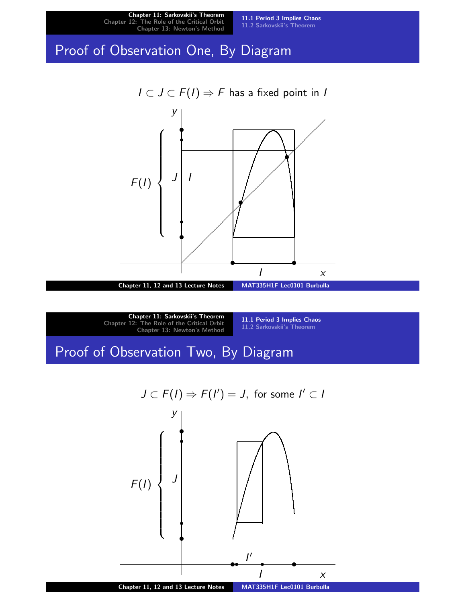

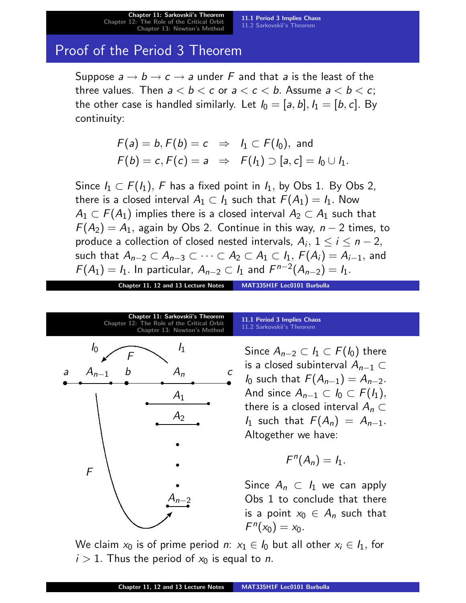## Proof of the Period 3 Theorem

Suppose  $a \rightarrow b \rightarrow c \rightarrow a$  under F and that a is the least of the three values. Then  $a < b < c$  or  $a < c < b$ . Assume  $a < b < c$ ; the other case is handled similarly. Let  $I_0 = [a, b], I_1 = [b, c]$ . By continuity:

$$
F(a) = b, F(b) = c \Rightarrow I_1 \subset F(I_0), \text{ and}
$$
  

$$
F(b) = c, F(c) = a \Rightarrow F(I_1) \supset [a, c] = I_0 \cup I_1.
$$

Since  $I_1 \subset F(I_1)$ , F has a fixed point in  $I_1$ , by Obs 1. By Obs 2, there is a closed interval  $A_1\subset\mathit{I}_1$  such that  $\mathit{F}(A_1)=\mathit{I}_1.$  Now  $A_1\subset \digamma(A_1)$  implies there is a closed interval  $A_2\subset A_1$  such that  $F(A_2) = A_1$ , again by Obs 2. Continue in this way,  $n-2$  times, to produce a collection of closed nested intervals,  $A_i, \ 1 \leq i \leq n-2,$ such that  $A_{n-2}\subset A_{n-3}\subset\cdots\subset A_2\subset A_1\subset\mathit{I}_1,\ \digamma(A_{i})=A_{i-1},$  and  $F(A_1) = I_1$ . In particular,  $A_{n-2} \subset I_1$  and  $F^{n-2}(A_{n-2}) = I_1$ .

Chapter 11, 12 and 13 Lecture Notes MAT335H1F Lec0101 Burbulla



| 11.1 Period 3 Implies Chaos, |  |
|------------------------------|--|
| 11.2 Sarkovskii's Theorem    |  |

Since  $A_{n-2}\subset I_1\subset F(I_0)$  there is a closed subinterval  $A_{n-1}$  ⊂  $I_0$  such that  $F(A_{n-1}) = A_{n-2}$ . And since  $A_{n-1}\subset I_0\subset F(I_1),$ there is a closed interval  $A_n \subset$ I<sub>1</sub> such that  $F(A_n) = A_{n-1}$ . Altogether we have:

$$
F^n(A_n)=I_1.
$$

Since  $A_n \subset I_1$  we can apply Obs 1 to conclude that there is a point  $x_0 \in A_n$  such that  $F^{n}(x_{0}) = x_{0}.$ 

We claim  $x_0$  is of prime period n:  $x_1 \in I_0$  but all other  $x_i \in I_1$ , for  $i > 1$ . Thus the period of  $x_0$  is equal to *n*.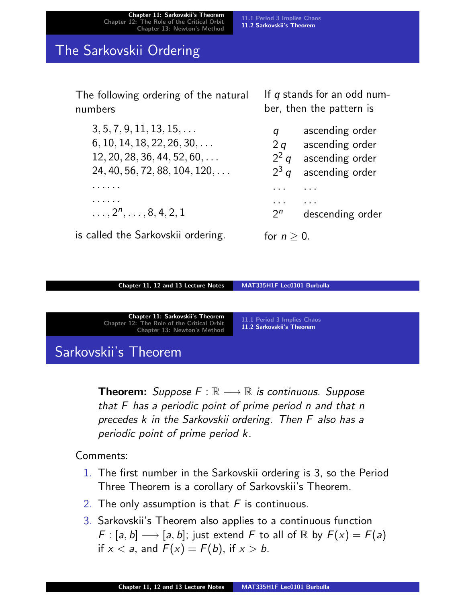Chapter 11: Sarkovskii's Theorem Chapter 12: The Role of the Critical Orbit Chapter 13: Newton's Method

11.1 Period 3 Implies Chaos

#### 11.2 Sarkovskii's Theorem

#### The Sarkovskii Ordering

The following ordering of the natural numbers

 $3, 5, 7, 9, 11, 13, 15, \ldots$  $6, 10, 14, 18, 22, 26, 30, \ldots$ 12, 20, 28, 36, 44, 52, 60, . . . 24, 40, 56, 72, 88, 104, 120, . . . . . . . . . . . . . . .  $\ldots$ ,  $2^n$ ,  $\ldots$ , 8, 4, 2, 1

is called the Sarkovskii ordering.

If  $q$  stands for an odd number, then the pattern is

| q             | ascending order  |
|---------------|------------------|
| 2q            | ascending order  |
| $2^2$ q       | ascending order  |
| $2^3$ q       | ascending order  |
|               |                  |
| $2^n$         | descending order |
| for $n > 0$ . |                  |

Chapter 11, 12 and 13 Lecture Notes MAT335H1F Lec0101 Burbulla

Chapter 11: Sarkovskii's Theorem Chapter 12: The Role of the Critical Orbit Chapter 13: Newton's Method

11.1 Period 3 Implies Chaos 11.2 Sarkovskii's Theorem

# Sarkovskii's Theorem

**Theorem:** Suppose  $F : \mathbb{R} \longrightarrow \mathbb{R}$  is continuous. Suppose [that F h](#page-7-0)[as a periodic point of prime p](#page-4-0)eriod n and that n precedes k in the Sarkovskii ordering. Then F also has a periodic point of prime period k.

Comments:

- 1. The first number in the Sarkovskii ordering is 3, so the Period Three Theorem is a corollary of Sarkovskii's Theorem.
- 2. The only assumption is that  $F$  is continuous.
- <span id="page-4-0"></span>3. Sarkovskii's Theorem also applies to a continuous function  $F : [a, b] \longrightarrow [a, b]$ ; just extend F to all of R by  $F(x) = F(a)$ if  $x < a$ , and  $F(x) = F(b)$ , if  $x > b$ .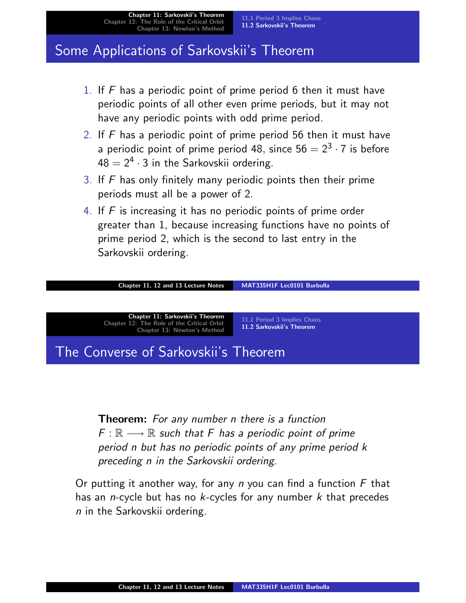## Some Applications of Sarkovskii's Theorem

- 1. If  $\overline{F}$  has a periodic point of prime period 6 then it must have periodic points of all other even prime periods, but it may not have any periodic points with odd prime period.
- 2. If  $F$  has a periodic point of prime period 56 then it must have a periodic point of prime period 48, since 56  $= 2^3 \cdot 7$  is before  $48 = 2<sup>4</sup> \cdot 3$  in the Sarkovskii ordering.
- 3. If  $F$  has only finitely many periodic points then their prime periods must all be a power of 2.
- 4. If  $F$  is increasing it has no periodic points of prime order greater than 1, because increasing functions have no points of prime period 2, which is the second to last entry in the Sarkovskii ordering.



Theorem: For any number n there is a function  $F : \mathbb{R} \longrightarrow \mathbb{R}$  such that F has a periodic point of prime period n but has no periodic points of any prime period k preceding n in the Sarkovskii ordering.

Or putting it another way, for any n you can find a function  $F$  that has an *n*-cycle but has no  $k$ -cycles for any number  $k$  that precedes n in the Sarkovskii ordering.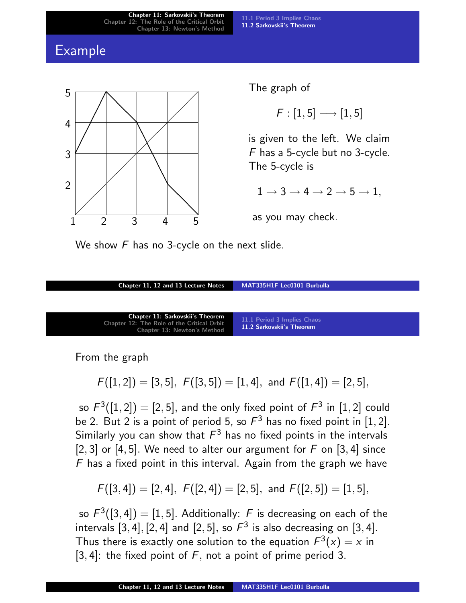Chapter 11: Sarkovskii's Theorem Chapter 12: The Role of the Critical Orbit Chapter 13: Newton's Method

11.1 Period 3 Implies Chaos 11.2 Sarkovskii's Theorem

#### Example



The graph of

 $F : [1, 5] \longrightarrow [1, 5]$ 

is given to the left. We claim F has a 5-cycle but no 3-cycle. The 5-cycle is

 $1 \rightarrow 3 \rightarrow 4 \rightarrow 2 \rightarrow 5 \rightarrow 1$ ,

as you may check.

We show  $F$  has no 3-cycle on the next slide.

| Chapter 11, 12 and 13 Lecture Notes                                                                                         | MAT335H1F Lec0101 Burbulla                               |
|-----------------------------------------------------------------------------------------------------------------------------|----------------------------------------------------------|
|                                                                                                                             |                                                          |
|                                                                                                                             |                                                          |
| <b>Chapter 11: Sarkovskii's Theorem</b><br>Chapter 12: The Role of the Critical Orbit<br><b>Chapter 13: Newton's Method</b> | 11.1 Period 3 Implies Chaos<br>11.2 Sarkovskii's Theorem |

From the graph

$$
F([1,2])=[3,5],\ F([3,5])=[1,4],\ \hbox{and}\ F([1,4])=[2,5],
$$

so  $F^3([1,2])=[2,5],$  $F^3([1,2])=[2,5],$  $F^3([1,2])=[2,5],$  $F^3([1,2])=[2,5],$  $F^3([1,2])=[2,5],$  [and the only fixed po](#page-4-0)int of  $F^3$  in  $[1,2]$  could be 2. But 2 is a point of period 5, so  $F^3$  has no fixed point in [1, 2]. Similarly you can show that  $\mathcal{F}^3$  has no fixed points in the intervals [2, 3] or [4, 5]. We need to alter our argument for  $F$  on [3, 4] since  $F$  has a fixed point in this interval. Again from the graph we have

$$
F([3,4]) = [2,4], F([2,4]) = [2,5], \text{ and } F([2,5]) = [1,5],
$$

so  $\mathcal{F}^3([3,4])=[1,5].$  Additionally:  $\mathcal F$  is decreasing on each of the intervals  $[3, 4]$ ,  $[2, 4]$  and  $[2, 5]$ , so  $F<sup>3</sup>$  is also decreasing on  $[3, 4]$ . Thus there is exactly one solution to the equation  $F^3(x)=x$  in [3, 4]: the fixed point of  $F$ , not a point of prime period 3.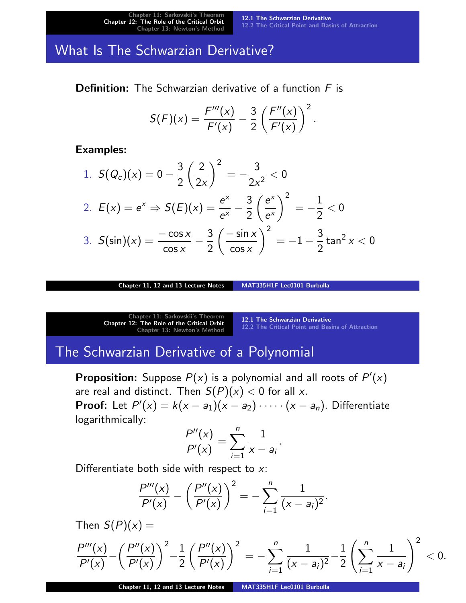Chapter 11: Sarkovskii Chapter 12: The Role of the Critical Orbit Chapter 13: Newton's Method

12.1 The Schwarzian Derivative 12.2 The Critical Point and Basins of Attraction

#### What Is The Schwarzian Derivative?

**Definition:** The Schwarzian derivative of a function  $F$  is

$$
S(F)(x) = \frac{F'''(x)}{F'(x)} - \frac{3}{2} \left( \frac{F''(x)}{F'(x)} \right)^2.
$$

Examples:

1. 
$$
S(Q_c)(x) = 0 - \frac{3}{2} \left(\frac{2}{2x}\right)^2 = -\frac{3}{2x^2} < 0
$$
  
\n2.  $E(x) = e^x \Rightarrow S(E)(x) = \frac{e^x}{e^x} - \frac{3}{2} \left(\frac{e^x}{e^x}\right)^2 = -\frac{1}{2} < 0$   
\n3.  $S(\sin)(x) = \frac{-\cos x}{\cos x} - \frac{3}{2} \left(\frac{-\sin x}{\cos x}\right)^2 = -1 - \frac{3}{2} \tan^2 x < 0$ 

Chapter 11, 12 and 13 Lecture Notes MAT335H1F Lec0101 Burbulla

Chapter 11: Sarkovskii's Theorem Chapter 12: The Role of the Critical Orbit Chapter 13: Newton's Method

12.1 The Schwarzian Derivative 12.2 The Critical Point and Basins of Attraction

# The Schwarzian Derivative of a Polynomial

**Proposition:** Suppose  $P(x)$  is a polynomial and all roots of  $P'(x)$ [are real and d](#page-1-0)istinct. Then  $S(P)(x) < 0$  for all x. **[Proof:](#page-7-0)** Let  $P'(x) = k(x - a_1)(x - a_2) \cdot \cdots \cdot (x - a_n)$ . Differentiate logarithmically:

$$
\frac{P''(x)}{P'(x)} = \sum_{i=1}^{n} \frac{1}{x - a_i}.
$$

Differentiate both side with respect to x:

<span id="page-7-0"></span>
$$
\frac{P'''(x)}{P'(x)} - \left(\frac{P''(x)}{P'(x)}\right)^2 = -\sum_{i=1}^n \frac{1}{(x-a_i)^2}.
$$

Then  $S(P)(x) =$ 

$$
\frac{P'''(x)}{P'(x)} - \left(\frac{P''(x)}{P'(x)}\right)^2 - \frac{1}{2}\left(\frac{P''(x)}{P'(x)}\right)^2 = -\sum_{i=1}^n \frac{1}{(x-a_i)^2} - \frac{1}{2}\left(\sum_{i=1}^n \frac{1}{x-a_i}\right)^2 < 0.
$$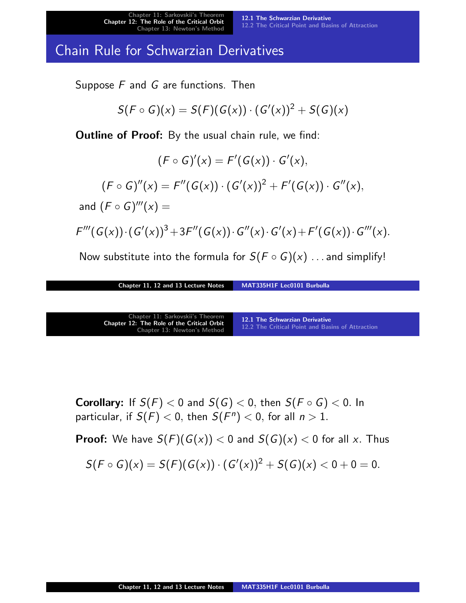12.1 The Schwarzian Derivative 12.2 The Critical Point and Basins of Attraction

### Chain Rule for Schwarzian Derivatives

Suppose  $F$  and  $G$  are functions. Then

$$
S(F\circ G)(x)=S(F)(G(x))\cdot (G'(x))^2+S(G)(x)
$$

**Outline of Proof:** By the usual chain rule, we find:

 $(F \circ G)'(x) = F'(G(x)) \cdot G'(x),$  $(F \circ G)''(x) = F''(G(x)) \cdot (G'(x))^2 + F'(G(x)) \cdot G''(x),$ and  $(F \circ G)'''(x) =$  $F'''(G(x))\cdot (G'(x))^3+3F''(G(x))\cdot G''(x)\cdot G'(x)+F'(G(x))\cdot G'''(x).$ 

Now substitute into the formula for  $S(F \circ G)(x)$  ... and simplify!

Chapter 11, 12 and 13 Lecture Notes MAT335H1F Lec0101 Burbulla

| Chapter 11: Sarkovskii's Theorem<br><b>Chapter 12: The Role of the Critical Orbit</b><br><b>Chapter 13: Newton's Method</b> | 12.1 The Schwarzian Derivative<br>12.2 The Critical Point and Basins of Attraction |
|-----------------------------------------------------------------------------------------------------------------------------|------------------------------------------------------------------------------------|
|-----------------------------------------------------------------------------------------------------------------------------|------------------------------------------------------------------------------------|

**[Corollary:](#page-7-0)**If  $S(F) < 0$  $S(F) < 0$  [and](#page-7-0)  $S(G) < 0$ , then  $S(F \circ G) < 0$ . In particular, if  $S(F) < 0$ , then  $S(F^n) < 0$ , for all  $n > 1$ .

**Proof:** We have  $S(F)(G(x)) < 0$  and  $S(G)(x) < 0$  for all x. Thus

$$
S(F\circ G)(x)=S(F)(G(x))\cdot (G'(x))^2+S(G)(x)<0+0=0.
$$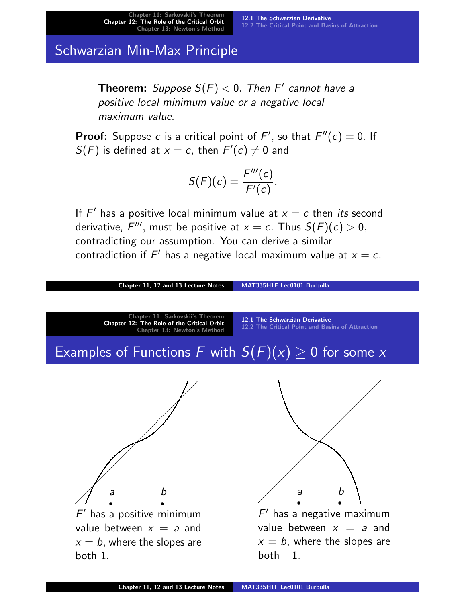12.1 The Schwarzian Derivative 12.2 The Critical Point and Basins of Attraction

# Schwarzian Min-Max Principle

**Theorem:** Suppose  $S(F) < 0$ . Then F' cannot have a positive local minimum value or a negative local maximum value.

**Proof:** Suppose c is a critical point of  $F'$ , so that  $F''(c) = 0$ . If  $S(F)$  is defined at  $x = c$ , then  $F'(c) \neq 0$  and

$$
S(F)(c)=\frac{F'''(c)}{F'(c)}.
$$

If  $F'$  has a positive local minimum value at  $x = c$  then *its* second derivative,  $F'''$ , must be positive at  $x = c$ . Thus  $S(F)(c) > 0$ , contradicting our assumption. You can derive a similar contradiction if  $F'$  has a negative local maximum value at  $x = c$ .

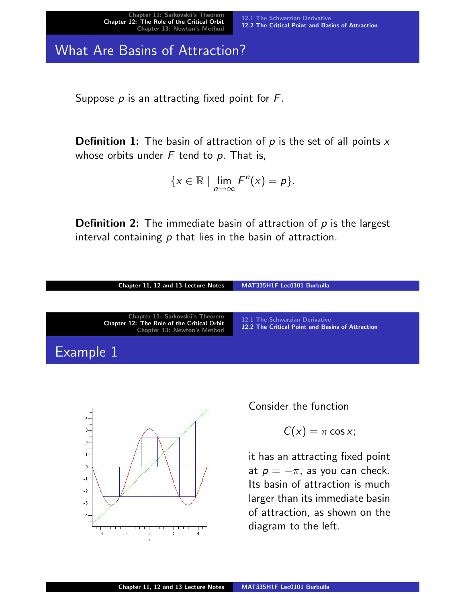What Are Basins of Attraction?

Suppose  $p$  is an attracting fixed point for  $F$ .

**Definition 1:** The basin of attraction of  $p$  is the set of all points  $x$ whose orbits under  $F$  tend to  $p$ . That is,

$$
\{x\in\mathbb{R}\mid \lim_{n\to\infty}F^n(x)=p\}.
$$

**Definition 2:** The immediate basin of attraction of  $p$  is the largest interval containing  $p$  that lies in the basin of attraction.





[Consid](#page-10-0)er the function

$$
C(x) = \pi \cos x;
$$

<span id="page-10-0"></span>it has an attracting fixed point at  $p = -\pi$ , as you can check. Its basin of attraction is much larger than its immediate basin of attraction, as shown on the diagram to the left.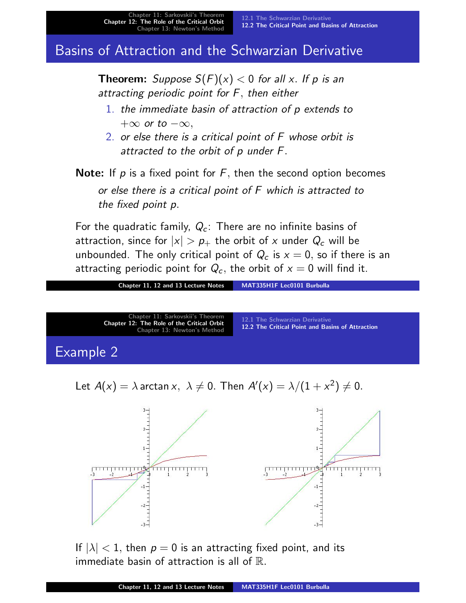# Basins of Attraction and the Schwarzian Derivative

**Theorem:** Suppose  $S(F)(x) < 0$  for all x. If p is an attracting periodic point for F, then either

- 1. the immediate basin of attraction of p extends to  $+\infty$  or to  $-\infty$ ,
- 2. or else there is a critical point of F whose orbit is attracted to the orbit of p under F.

**Note:** If  $p$  is a fixed point for  $F$ , then the second option becomes or else there is a critical point of F which is attracted to the fixed point p.

For the quadratic family,  $Q_c$ : There are no infinite basins of attraction, since for  $|x| > p_+$  the orbit of x under  $Q_c$  will be unbounded. The only critical point of  $Q_c$  is  $x = 0$ , so if there is an attracting periodic point for  $Q_c$ , the orbit of  $x = 0$  will find it.



If  $|\lambda|$  < 1, then  $p = 0$  is an attracting fixed point, and its immediate basin of attraction is all of  $\mathbb{R}$ .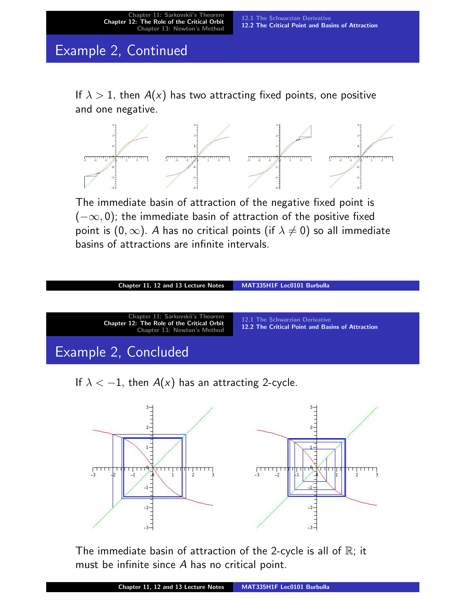# Example 2, Continued

If  $\lambda > 1$ , then  $A(x)$  has two attracting fixed points, one positive and one negative.



The immediate basin of attraction of the negative fixed point is  $(-\infty, 0)$ ; the immediate basin of attraction of the positive fixed point is  $(0, \infty)$ . A has no critical points (if  $\lambda \neq 0$ ) so all immediate basins of attractions are infinite intervals.

| MAT335H1F Lec0101 Burbulla                                                         | Chapter 11, 12 and 13 Lecture Notes                                                                           |
|------------------------------------------------------------------------------------|---------------------------------------------------------------------------------------------------------------|
|                                                                                    |                                                                                                               |
| 12.1 The Schwarzian Derivative<br>12.2 The Critical Point and Basins of Attraction | Chapter 11: Sarkovskii's Theorem<br>Chapter 12: The Role of the Critical Orbit<br>Chapter 13: Newton's Method |
|                                                                                    | Example 2, Concluded                                                                                          |
|                                                                                    |                                                                                                               |

If  $\lambda < -1$ , then  $A(x)$  has an attracting 2-cycle.



The immediate basin of attraction of the 2-cycle is all of  $\mathbb{R}$ ; it must be infinite since A has no critical point.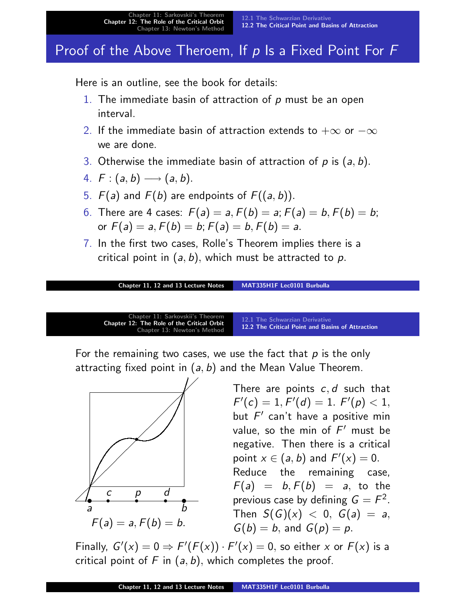# Proof of the Above Theroem, If  $p$  Is a Fixed Point For  $F$

Here is an outline, see the book for details:

- 1. The immediate basin of attraction of  $p$  must be an open interval.
- 2. If the immediate basin of attraction extends to  $+\infty$  or  $-\infty$ we are done.
- 3. Otherwise the immediate basin of attraction of  $p$  is  $(a, b)$ .
- 4.  $F:(a, b) \longrightarrow (a, b).$
- 5.  $F(a)$  and  $F(b)$  are endpoints of  $F((a, b))$ .
- 6. There are 4 cases:  $F(a) = a, F(b) = a; F(a) = b, F(b) = b;$ or  $F(a) = a, F(b) = b$ ;  $F(a) = b, F(b) = a$ .
- 7. In the first two cases, Rolle's Theorem implies there is a critical point in  $(a, b)$ , which must be attracted to p.

```
Chapter 11, 12 and 13 Lecture Notes MAT335H1F Lec0101 Burbulla
```


For the remaining two cases, we use the fact that  $p$  is the only attracting fixed point in  $(a, b)$  and the Mean Value Theorem.



There are points  $c, d$  such that  $F'(c) = 1, F'(d) = 1. F'(p) < 1,$  $F'(c) = 1, F'(d) = 1. F'(p) < 1,$  $F'(c) = 1, F'(d) = 1. F'(p) < 1,$ but  $F'$  can't have a positive min value, so the min of  $F'$  must be negative. Then there is a critical point  $x \in (a, b)$  and  $F'(x) = 0$ . Reduce the remaining case,  $F(a) = b, F(b) = a$ , to the previous case by defining  $G=F^2.$ Then  $S(G)(x) < 0$ ,  $G(a) = a$ ,  $G(b) = b$ , and  $G(p) = p$ .

Finally,  $G'(x) = 0 \Rightarrow F'(F(x)) \cdot F'(x) = 0$ , so either x or  $F(x)$  is a critical point of F in  $(a, b)$ , which completes the proof.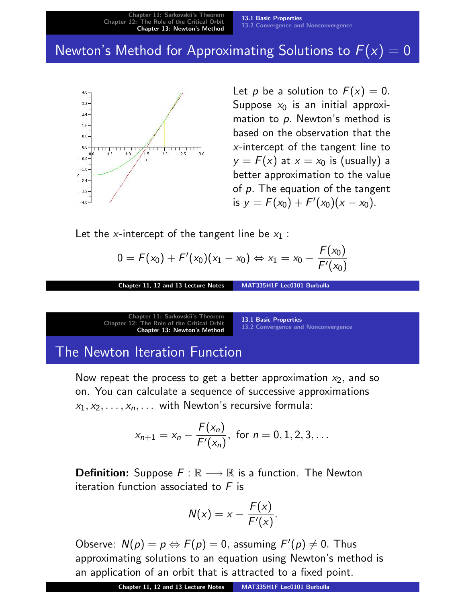# Newton's Method for Approximating Solutions to  $F(x) = 0$



Let p be a solution to  $F(x) = 0$ . Suppose  $x_0$  is an initial approximation to p. Newton's method is based on the observation that the x-intercept of the tangent line to  $y = F(x)$  at  $x = x_0$  is (usually) a better approximation to the value of  $p$ . The equation of the tangent is  $y = F(x_0) + F'(x_0)(x - x_0)$ .

Let the x-intercept of the tangent line be  $x_1$ :

$$
0 = F(x_0) + F'(x_0)(x_1 - x_0) \Leftrightarrow x_1 = x_0 - \frac{F(x_0)}{F'(x_0)}
$$

Chapter 11, 12 and 13 Lecture Notes MAT335H1F Lec0101 Burbulla

Chapter 11: Sarkovskii's Theorem Chapter 12: The Role of the Critical Orbit Chapter 13: Newton's Method

13.1 Basic Properties 13.2 Convergence and Nonconvergence

# The Newton Iteration Function

Now repeat the process to get a better approximation  $x_2$ , and so on. [You can c](#page-1-0)alculate a sequence of successive approximations  $x_1, x_2, \ldots, x_n, \ldots$  [with Newton's recursive f](#page-17-0)ormula:

$$
x_{n+1} = x_n - \frac{F(x_n)}{F'(x_n)}
$$
, for  $n = 0, 1, 2, 3, ...$ 

**Definition:** Suppose  $F : \mathbb{R} \longrightarrow \mathbb{R}$  is a function. The Newton iteration function associated to  $F$  is

<span id="page-14-0"></span>
$$
N(x) = x - \frac{F(x)}{F'(x)}.
$$

Observe:  $N(p) = p \Leftrightarrow F(p) = 0$ , assuming  $F'(p) \neq 0$ . Thus approximating solutions to an equation using Newton's method is an application of an orbit that is attracted to a fixed point.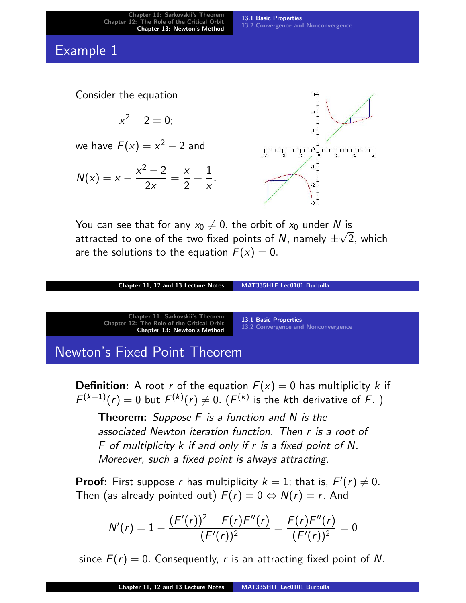13.1 Basic Properties 13.2 Convergence and Nonconvergence

#### Example 1



You can see that for any  $x_0 \neq 0$ , the orbit of  $x_0$  under N is attracted to one of the two fixed points of  $N,$  namely  $\pm\sqrt{2},$  which are the solutions to the equation  $F(x) = 0$ .

| Chapter 11, 12 and 13 Lecture Notes                                                                                  | MAT335H1F Lec0101 Burbulla                                          |  |
|----------------------------------------------------------------------------------------------------------------------|---------------------------------------------------------------------|--|
|                                                                                                                      |                                                                     |  |
| Chapter 11: Sarkovskii's Theorem<br>Chapter 12: The Role of the Critical Orbit<br><b>Chapter 13: Newton's Method</b> | <b>13.1 Basic Properties</b><br>13.2 Convergence and Nonconvergence |  |
| Newton's Fixed Point Theorem                                                                                         |                                                                     |  |

**Definition:** A root r of the equation  $F(x) = 0$  has multiplicity k if  $F^{(k-1)}(r)=0$  but  $F^{(k)}(r)\neq 0$ .  $(F^{(k)}$  [is the](#page-14-0)  $k$ th derivative of  $F$ . )

**[Theorem](#page-14-0):** Suppose  $F$  is a function and  $N$  is the associated Newton iteration function. Then r is a root of F of multiplicity k if and only if r is a fixed point of N. Moreover, such a fixed point is always attracting.

**Proof:** First suppose r has multiplicity  $k = 1$ ; that is,  $F'(r) \neq 0$ . Then (as already pointed out)  $F(r) = 0 \Leftrightarrow N(r) = r$ . And

$$
N'(r) = 1 - \frac{(F'(r))^2 - F(r)F''(r)}{(F'(r))^2} = \frac{F(r)F''(r)}{(F'(r))^2} = 0
$$

since  $F(r) = 0$ . Consequently, r is an attracting fixed point of N.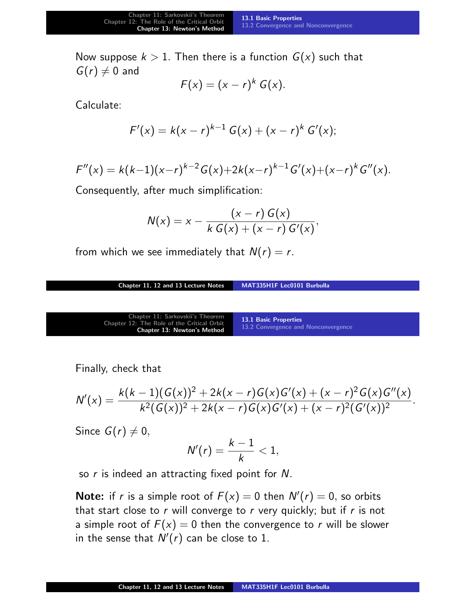Now suppose  $k > 1$ . Then there is a function  $G(x)$  such that  $G(r) \neq 0$  and

$$
F(x)=(x-r)^k G(x).
$$

Calculate:

$$
F'(x) = k(x - r)^{k-1} G(x) + (x - r)^k G'(x);
$$

$$
F''(x) = k(k-1)(x-r)^{k-2}G(x)+2k(x-r)^{k-1}G'(x)+(x-r)^kG''(x).
$$

Consequently, after much simplification:

$$
N(x) = x - \frac{(x - r) G(x)}{k G(x) + (x - r) G'(x)},
$$

from which we see immediately that  $N(r) = r$ .

Chapter 11, 12 and 13 Lecture Notes MAT335H1F Lec0101 Burbulla

| Chapter 11: Sarkovskii's Theorem<br>Chapter 12: The Role of the Critical Orbit<br><b>Chapter 13: Newton's Method</b> | 13.1 Basic Properties<br>13.2 Convergence and Nonconvergence |
|----------------------------------------------------------------------------------------------------------------------|--------------------------------------------------------------|
|----------------------------------------------------------------------------------------------------------------------|--------------------------------------------------------------|

Finally, check that

$$
N'(x) = \frac{k(k-1)(G(x))^2 + 2k(x-r)G(x)G'(x) + (x-r)^2G(x)G''(x)}{k^2(G(x))^2 + 2k(x-r)G(x)G'(x) + (x-r)^2(G'(x))^2}.
$$

Since  $G(r) \neq 0$ ,

$$
N'(r)=\frac{k-1}{k}<1,
$$

so  $r$  is indeed an attracting fixed point for  $N$ .

**Note:** if r is a simple root of  $F(x) = 0$  then  $N'(r) = 0$ , so orbits that start close to  $r$  will converge to  $r$  very quickly; but if  $r$  is not a simple root of  $F(x) = 0$  then the convergence to r will be slower in the sense that  $N'(r)$  can be close to 1.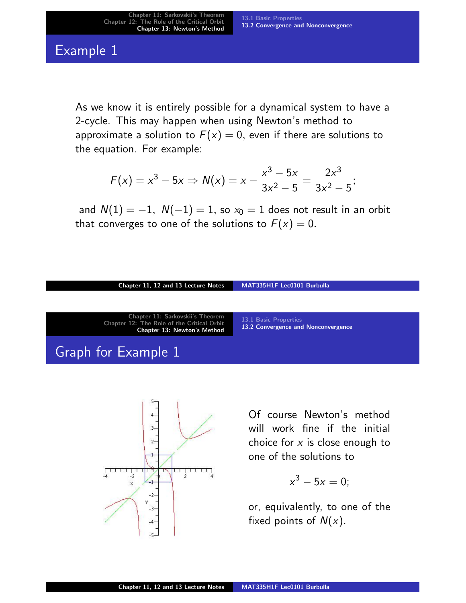## Example 1

As we know it is entirely possible for a dynamical system to have a 2-cycle. This may happen when using Newton's method to approximate a solution to  $F(x) = 0$ , even if there are solutions to the equation. For example:

$$
F(x) = x^3 - 5x \Rightarrow N(x) = x - \frac{x^3 - 5x}{3x^2 - 5} = \frac{2x^3}{3x^2 - 5};
$$

and  $N(1) = -1$ ,  $N(-1) = 1$ , so  $x_0 = 1$  does not result in an orbit that converges to one of the solutions to  $F(x) = 0$ .

#### Chapter 11, 12 and 13 Lecture Notes MAT335H1F Lec0101 Burbulla

| Chapter 11: Sarkovskii's Theorem<br>Chapter 12: The Role of the Critical Orbit<br><b>Chapter 13: Newton's Method</b> | 13.1 Basic Properties<br>13.2 Convergence and Nonconvergence |
|----------------------------------------------------------------------------------------------------------------------|--------------------------------------------------------------|
| Graph for Example 1                                                                                                  |                                                              |



[Of](#page-17-0) [co](#page-17-0)urse Newton's method will work fine if the initial choice for  $x$  is close enough to one of the solutions to

$$
x^3-5x=0;
$$

<span id="page-17-0"></span>or, equivalently, to one of the fixed points of  $N(x)$ .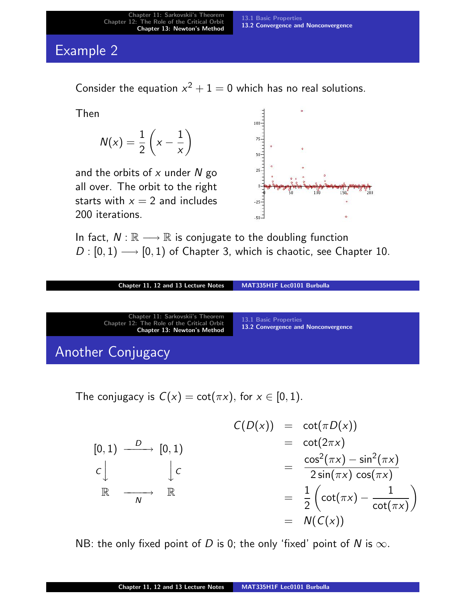#### 13.1 Basic Properties 13.2 Convergence and Nonconvergence

# Example 2

Consider the equation  $x^2 + 1 = 0$  which has no real solutions.

Then

$$
N(x) = \frac{1}{2} \left( x - \frac{1}{x} \right)
$$

and the orbits of  $x$  under  $N$  go all over. The orbit to the right starts with  $x = 2$  and includes 200 iterations.



In fact,  $N : \mathbb{R} \longrightarrow \mathbb{R}$  is conjugate to the doubling function  $D: [0, 1) \longrightarrow [0, 1)$  of Chapter 3, which is chaotic, see Chapter 10.

| Chapter 11, 12 and 13 Lecture Notes                                            | MAT335H1F Lec0101 Burbulla          |
|--------------------------------------------------------------------------------|-------------------------------------|
|                                                                                |                                     |
| Chapter 11: Sarkovskii's Theorem<br>Chapter 12: The Role of the Critical Orbit | 13.1 Basic Properties               |
| <b>Chapter 13: Newton's Method</b>                                             | 13.2 Convergence and Nonconvergence |
| Another Conjugacy                                                              |                                     |

[The conjugac](#page-1-0)y is  $C(x) = \cot(\pi x)$ , for  $x \in [0, 1)$ .

$$
C(D(x)) = \cot(\pi D(x))
$$
  
\n
$$
[0,1) \xrightarrow{D} [0,1)
$$
  
\n
$$
C\Big\downarrow C
$$
  
\n
$$
\mathbb{R} \xrightarrow[N]{\phantom{D}} \mathbb{R}
$$
  
\n
$$
= \frac{1}{2} \left( \cot(\pi x) - \frac{1}{\cot(\pi x)} \right)
$$
  
\n
$$
= N(C(x))
$$
  
\n
$$
= N(C(x))
$$

NB: the only fixed point of D is 0; the only 'fixed' point of N is  $\infty$ .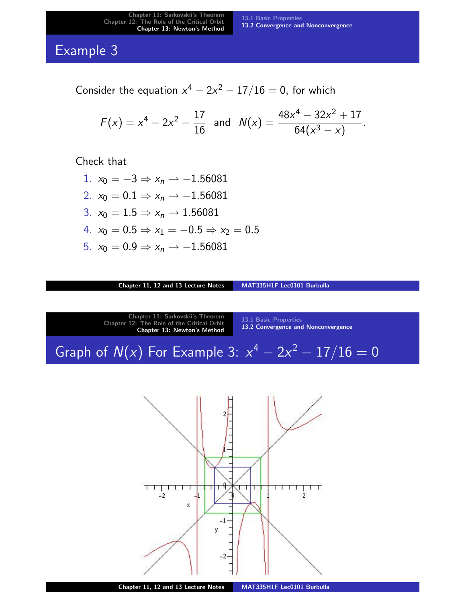### Example 3

Consider the equation  $x^4 - 2x^2 - 17/16 = 0$ , for which

$$
F(x) = x^4 - 2x^2 - \frac{17}{16} \text{ and } N(x) = \frac{48x^4 - 32x^2 + 17}{64(x^3 - x)}.
$$

Check that

- 1.  $x_0 = -3 \Rightarrow x_n \rightarrow -1.56081$
- 2.  $x_0 = 0.1 \Rightarrow x_n \to -1.56081$
- 3.  $x_0 = 1.5 \Rightarrow x_n \to 1.56081$
- 4.  $x_0 = 0.5 \Rightarrow x_1 = -0.5 \Rightarrow x_2 = 0.5$
- 5.  $x_0 = 0.9 \Rightarrow x_n \rightarrow -1.56081$

Chapter 11, 12 and 13 Lecture Notes MAT335H1F Lec0101 Burbulla